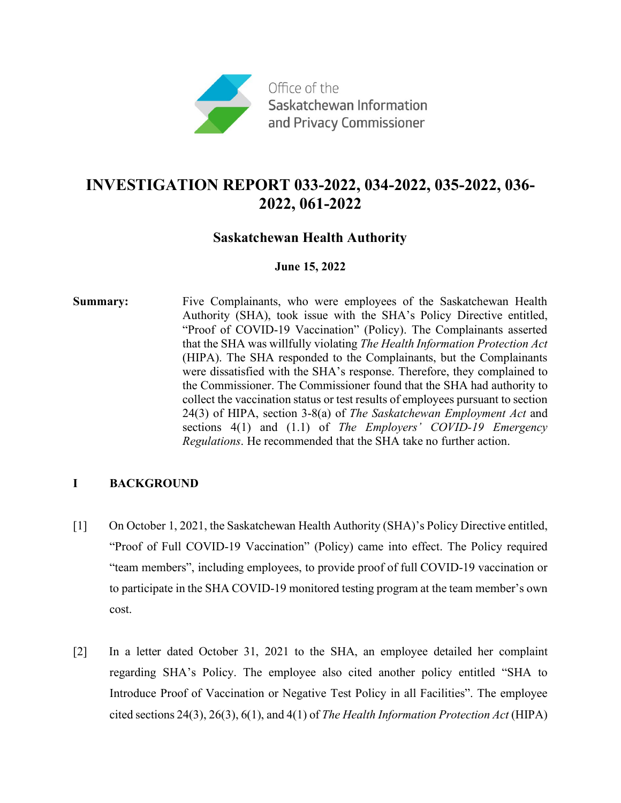

# **INVESTIGATION REPORT 033-2022, 034-2022, 035-2022, 036- 2022, 061-2022**

## **Saskatchewan Health Authority**

### **June 15, 2022**

**Summary:** Five Complainants, who were employees of the Saskatchewan Health Authority (SHA), took issue with the SHA's Policy Directive entitled, "Proof of COVID-19 Vaccination" (Policy). The Complainants asserted that the SHA was willfully violating *The Health Information Protection Act* (HIPA). The SHA responded to the Complainants, but the Complainants were dissatisfied with the SHA's response. Therefore, they complained to the Commissioner. The Commissioner found that the SHA had authority to collect the vaccination status or test results of employees pursuant to section 24(3) of HIPA, section 3-8(a) of *The Saskatchewan Employment Act* and sections 4(1) and (1.1) of *The Employers' COVID-19 Emergency Regulations*. He recommended that the SHA take no further action.

## **I BACKGROUND**

- [1] On October 1, 2021, the Saskatchewan Health Authority (SHA)'s Policy Directive entitled, "Proof of Full COVID-19 Vaccination" (Policy) came into effect. The Policy required "team members", including employees, to provide proof of full COVID-19 vaccination or to participate in the SHA COVID-19 monitored testing program at the team member's own cost.
- [2] In a letter dated October 31, 2021 to the SHA, an employee detailed her complaint regarding SHA's Policy. The employee also cited another policy entitled "SHA to Introduce Proof of Vaccination or Negative Test Policy in all Facilities". The employee cited sections 24(3), 26(3), 6(1), and 4(1) of *The Health Information Protection Act* (HIPA)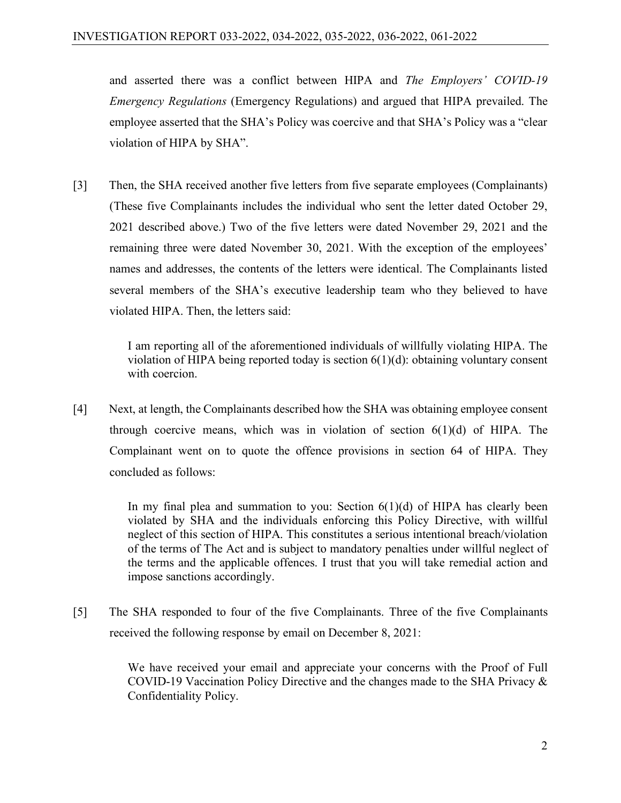and asserted there was a conflict between HIPA and *The Employers' COVID-19 Emergency Regulations* (Emergency Regulations) and argued that HIPA prevailed. The employee asserted that the SHA's Policy was coercive and that SHA's Policy was a "clear violation of HIPA by SHA".

[3] Then, the SHA received another five letters from five separate employees (Complainants) (These five Complainants includes the individual who sent the letter dated October 29, 2021 described above.) Two of the five letters were dated November 29, 2021 and the remaining three were dated November 30, 2021. With the exception of the employees' names and addresses, the contents of the letters were identical. The Complainants listed several members of the SHA's executive leadership team who they believed to have violated HIPA. Then, the letters said:

> I am reporting all of the aforementioned individuals of willfully violating HIPA. The violation of HIPA being reported today is section 6(1)(d): obtaining voluntary consent with coercion.

[4] Next, at length, the Complainants described how the SHA was obtaining employee consent through coercive means, which was in violation of section  $6(1)(d)$  of HIPA. The Complainant went on to quote the offence provisions in section 64 of HIPA. They concluded as follows:

> In my final plea and summation to you: Section  $6(1)(d)$  of HIPA has clearly been violated by SHA and the individuals enforcing this Policy Directive, with willful neglect of this section of HIPA. This constitutes a serious intentional breach/violation of the terms of The Act and is subject to mandatory penalties under willful neglect of the terms and the applicable offences. I trust that you will take remedial action and impose sanctions accordingly.

[5] The SHA responded to four of the five Complainants. Three of the five Complainants received the following response by email on December 8, 2021:

> We have received your email and appreciate your concerns with the Proof of Full COVID-19 Vaccination Policy Directive and the changes made to the SHA Privacy & Confidentiality Policy.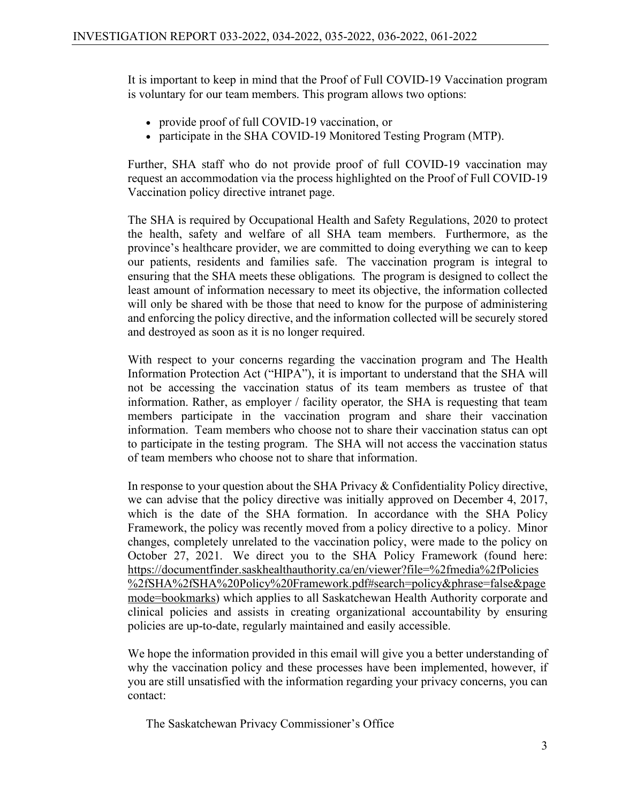It is important to keep in mind that the Proof of Full COVID-19 Vaccination program is voluntary for our team members. This program allows two options:

- provide proof of full COVID-19 vaccination, or
- participate in the SHA COVID-19 Monitored Testing Program (MTP).

Further, SHA staff who do not provide proof of full COVID-19 vaccination may request an accommodation via the process highlighted on the Proof of Full COVID-19 Vaccination policy directive intranet page.

The SHA is required by Occupational Health and Safety Regulations, 2020 to protect the health, safety and welfare of all SHA team members. Furthermore, as the province's healthcare provider, we are committed to doing everything we can to keep our patients, residents and families safe. The vaccination program is integral to ensuring that the SHA meets these obligations. The program is designed to collect the least amount of information necessary to meet its objective, the information collected will only be shared with be those that need to know for the purpose of administering and enforcing the policy directive, and the information collected will be securely stored and destroyed as soon as it is no longer required.

With respect to your concerns regarding the vaccination program and The Health Information Protection Act ("HIPA"), it is important to understand that the SHA will not be accessing the vaccination status of its team members as trustee of that information. Rather, as employer / facility operator*,* the SHA is requesting that team members participate in the vaccination program and share their vaccination information. Team members who choose not to share their vaccination status can opt to participate in the testing program. The SHA will not access the vaccination status of team members who choose not to share that information.

In response to your question about the SHA Privacy & Confidentiality Policy directive, we can advise that the policy directive was initially approved on December 4, 2017, which is the date of the SHA formation. In accordance with the SHA Policy Framework, the policy was recently moved from a policy directive to a policy. Minor changes, completely unrelated to the vaccination policy, were made to the policy on October 27, 2021. We direct you to the SHA Policy Framework (found here: [https://documentfinder.saskhealthauthority.ca/en/viewer?file=%2fmedia%2fPolicies](https://documentfinder.saskhealthauthority.ca/en/viewer?file=%2fmedia%2fPolicies%2fSHA%2fSHA%20Policy%20Framework.pdf#search=policy&phrase=false&pagemode=bookmarks) [%2fSHA%2fSHA%20Policy%20Framework.pdf#search=policy&phrase=false&page](https://documentfinder.saskhealthauthority.ca/en/viewer?file=%2fmedia%2fPolicies%2fSHA%2fSHA%20Policy%20Framework.pdf#search=policy&phrase=false&pagemode=bookmarks) [mode=bookmarks\)](https://documentfinder.saskhealthauthority.ca/en/viewer?file=%2fmedia%2fPolicies%2fSHA%2fSHA%20Policy%20Framework.pdf#search=policy&phrase=false&pagemode=bookmarks) which applies to all Saskatchewan Health Authority corporate and clinical policies and assists in creating organizational accountability by ensuring policies are up-to-date, regularly maintained and easily accessible.

We hope the information provided in this email will give you a better understanding of why the vaccination policy and these processes have been implemented, however, if you are still unsatisfied with the information regarding your privacy concerns, you can contact:

The Saskatchewan Privacy Commissioner's Office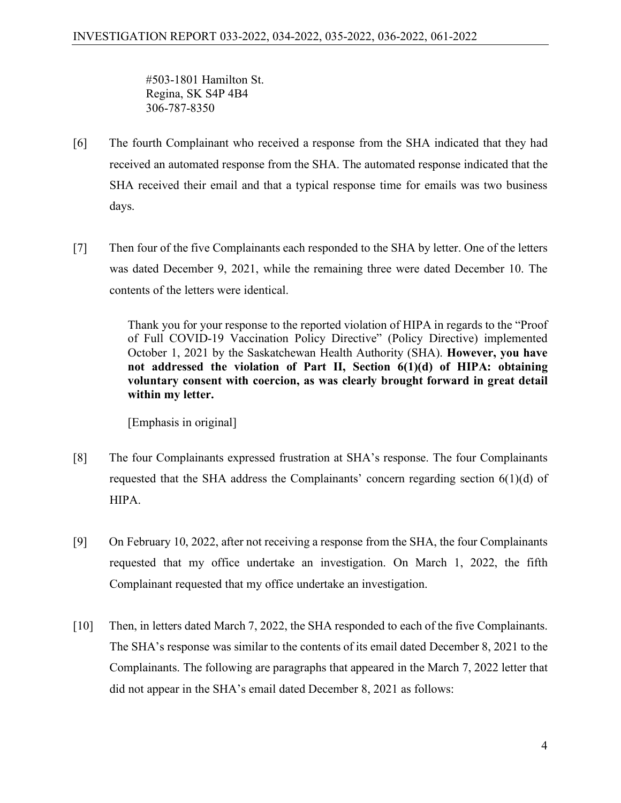#503-1801 Hamilton St. Regina, SK S4P 4B4 306-787-8350

- [6] The fourth Complainant who received a response from the SHA indicated that they had received an automated response from the SHA. The automated response indicated that the SHA received their email and that a typical response time for emails was two business days.
- [7] Then four of the five Complainants each responded to the SHA by letter. One of the letters was dated December 9, 2021, while the remaining three were dated December 10. The contents of the letters were identical.

Thank you for your response to the reported violation of HIPA in regards to the "Proof of Full COVID-19 Vaccination Policy Directive" (Policy Directive) implemented October 1, 2021 by the Saskatchewan Health Authority (SHA). **However, you have not addressed the violation of Part II, Section 6(1)(d) of HIPA: obtaining voluntary consent with coercion, as was clearly brought forward in great detail within my letter.**

[Emphasis in original]

- [8] The four Complainants expressed frustration at SHA's response. The four Complainants requested that the SHA address the Complainants' concern regarding section 6(1)(d) of HIPA.
- [9] On February 10, 2022, after not receiving a response from the SHA, the four Complainants requested that my office undertake an investigation. On March 1, 2022, the fifth Complainant requested that my office undertake an investigation.
- [10] Then, in letters dated March 7, 2022, the SHA responded to each of the five Complainants. The SHA's response was similar to the contents of its email dated December 8, 2021 to the Complainants. The following are paragraphs that appeared in the March 7, 2022 letter that did not appear in the SHA's email dated December 8, 2021 as follows: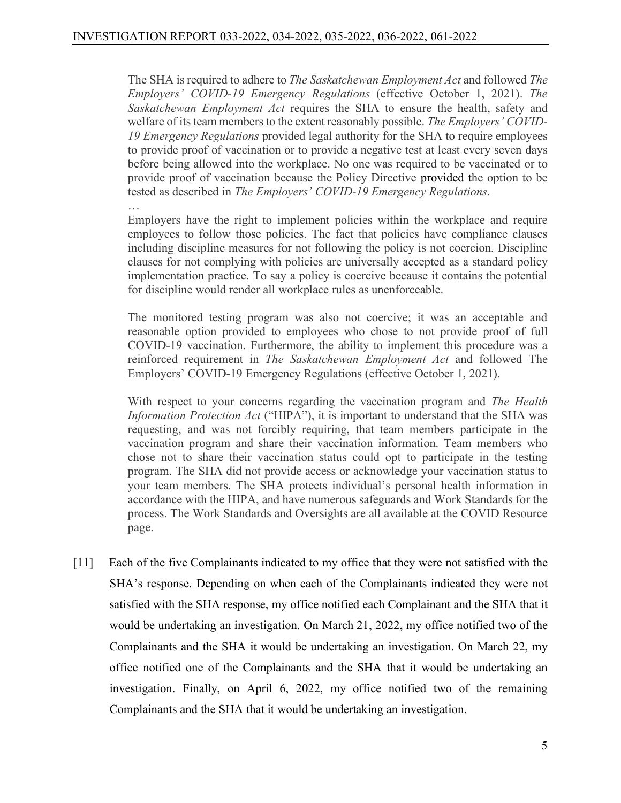The SHA is required to adhere to *The Saskatchewan Employment Act* and followed *The Employers' COVID-19 Emergency Regulations* (effective October 1, 2021). *The Saskatchewan Employment Act* requires the SHA to ensure the health, safety and welfare of its team members to the extent reasonably possible. *The Employers' COVID-19 Emergency Regulations* provided legal authority for the SHA to require employees to provide proof of vaccination or to provide a negative test at least every seven days before being allowed into the workplace. No one was required to be vaccinated or to provide proof of vaccination because the Policy Directive provided the option to be tested as described in *The Employers' COVID-19 Emergency Regulations*.

… Employers have the right to implement policies within the workplace and require employees to follow those policies. The fact that policies have compliance clauses including discipline measures for not following the policy is not coercion. Discipline clauses for not complying with policies are universally accepted as a standard policy implementation practice. To say a policy is coercive because it contains the potential for discipline would render all workplace rules as unenforceable.

The monitored testing program was also not coercive; it was an acceptable and reasonable option provided to employees who chose to not provide proof of full COVID-19 vaccination. Furthermore, the ability to implement this procedure was a reinforced requirement in *The Saskatchewan Employment Act* and followed The Employers' COVID-19 Emergency Regulations (effective October 1, 2021).

With respect to your concerns regarding the vaccination program and *The Health Information Protection Act* ("HIPA"), it is important to understand that the SHA was requesting, and was not forcibly requiring, that team members participate in the vaccination program and share their vaccination information. Team members who chose not to share their vaccination status could opt to participate in the testing program. The SHA did not provide access or acknowledge your vaccination status to your team members. The SHA protects individual's personal health information in accordance with the HIPA, and have numerous safeguards and Work Standards for the process. The Work Standards and Oversights are all available at the COVID Resource page.

[11] Each of the five Complainants indicated to my office that they were not satisfied with the SHA's response. Depending on when each of the Complainants indicated they were not satisfied with the SHA response, my office notified each Complainant and the SHA that it would be undertaking an investigation. On March 21, 2022, my office notified two of the Complainants and the SHA it would be undertaking an investigation. On March 22, my office notified one of the Complainants and the SHA that it would be undertaking an investigation. Finally, on April 6, 2022, my office notified two of the remaining Complainants and the SHA that it would be undertaking an investigation.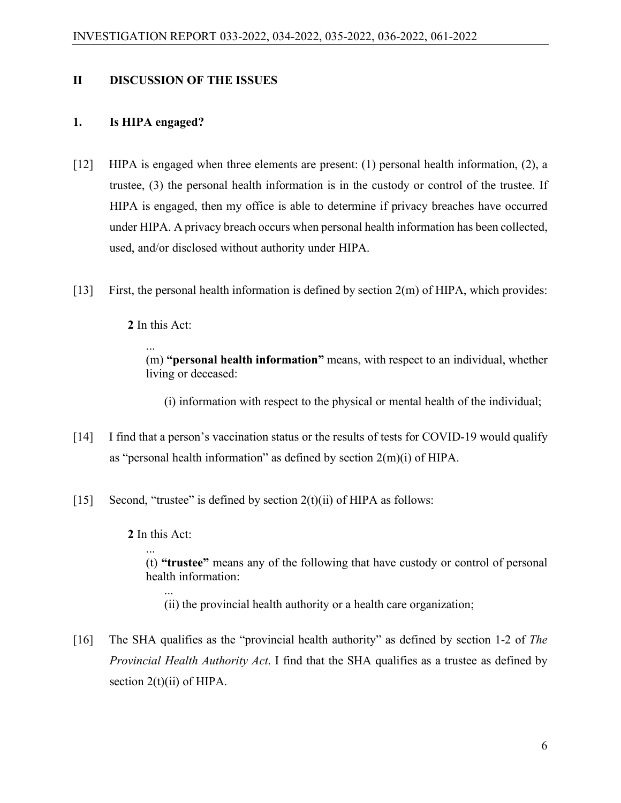### **II DISCUSSION OF THE ISSUES**

#### **1. Is HIPA engaged?**

- [12] HIPA is engaged when three elements are present: (1) personal health information, (2), a trustee, (3) the personal health information is in the custody or control of the trustee. If HIPA is engaged, then my office is able to determine if privacy breaches have occurred under HIPA. A privacy breach occurs when personal health information has been collected, used, and/or disclosed without authority under HIPA.
- [13] First, the personal health information is defined by section 2(m) of HIPA, which provides:

**2** In this Act:

...

(m) **"personal health information"** means, with respect to an individual, whether living or deceased:

(i) information with respect to the physical or mental health of the individual;

- [14] I find that a person's vaccination status or the results of tests for COVID-19 would qualify as "personal health information" as defined by section 2(m)(i) of HIPA.
- [15] Second, "trustee" is defined by section  $2(t)(ii)$  of HIPA as follows:

**2** In this Act:

...

...

(t) **"trustee"** means any of the following that have custody or control of personal health information:

- (ii) the provincial health authority or a health care organization;
- [16] The SHA qualifies as the "provincial health authority" as defined by section 1-2 of *The Provincial Health Authority Act*. I find that the SHA qualifies as a trustee as defined by section  $2(t)(ii)$  of HIPA.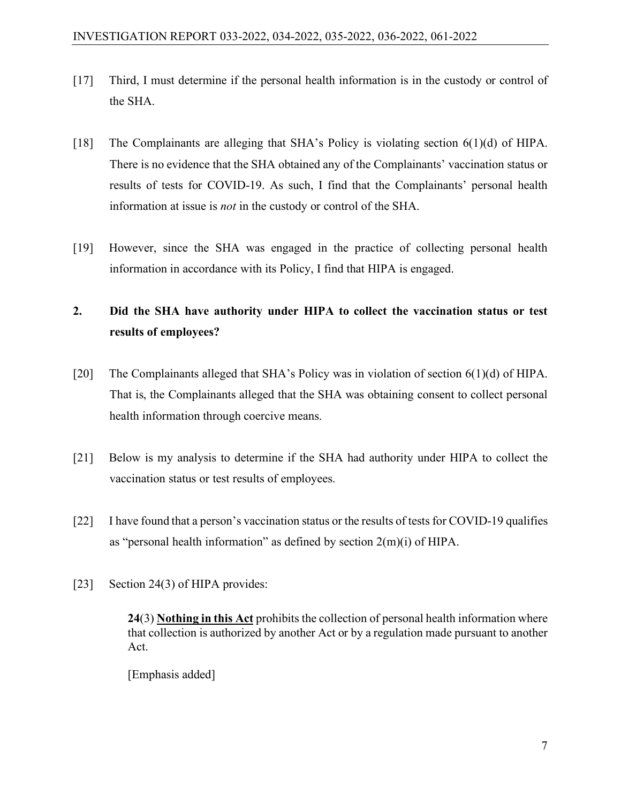- [17] Third, I must determine if the personal health information is in the custody or control of the SHA.
- [18] The Complainants are alleging that SHA's Policy is violating section 6(1)(d) of HIPA. There is no evidence that the SHA obtained any of the Complainants' vaccination status or results of tests for COVID-19. As such, I find that the Complainants' personal health information at issue is *not* in the custody or control of the SHA.
- [19] However, since the SHA was engaged in the practice of collecting personal health information in accordance with its Policy, I find that HIPA is engaged.

# **2. Did the SHA have authority under HIPA to collect the vaccination status or test results of employees?**

- [20] The Complainants alleged that SHA's Policy was in violation of section 6(1)(d) of HIPA. That is, the Complainants alleged that the SHA was obtaining consent to collect personal health information through coercive means.
- [21] Below is my analysis to determine if the SHA had authority under HIPA to collect the vaccination status or test results of employees.
- [22] I have found that a person's vaccination status or the results of tests for COVID-19 qualifies as "personal health information" as defined by section  $2(m)(i)$  of HIPA.
- [23] Section 24(3) of HIPA provides:

**24**(3) **Nothing in this Act** prohibits the collection of personal health information where that collection is authorized by another Act or by a regulation made pursuant to another Act.

[Emphasis added]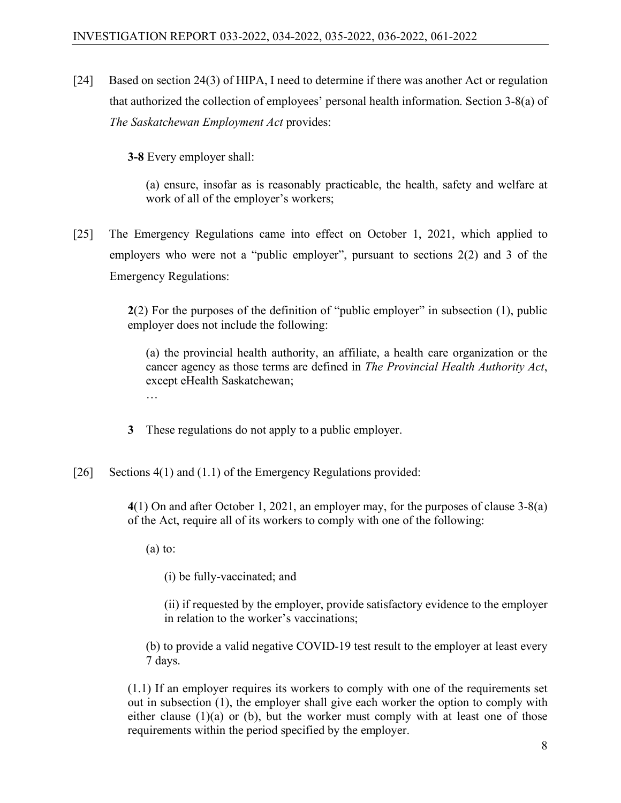[24] Based on section 24(3) of HIPA, I need to determine if there was another Act or regulation that authorized the collection of employees' personal health information. Section 3-8(a) of *The Saskatchewan Employment Act* provides:

**3‑8** Every employer shall:

(a) ensure, insofar as is reasonably practicable, the health, safety and welfare at work of all of the employer's workers;

[25] The Emergency Regulations came into effect on October 1, 2021, which applied to employers who were not a "public employer", pursuant to sections 2(2) and 3 of the Emergency Regulations:

> **2**(2) For the purposes of the definition of "public employer" in subsection (1), public employer does not include the following:

(a) the provincial health authority, an affiliate, a health care organization or the cancer agency as those terms are defined in *The Provincial Health Authority Act*, except eHealth Saskatchewan; …

**3** These regulations do not apply to a public employer.

[26] Sections 4(1) and (1.1) of the Emergency Regulations provided:

**4**(1) On and after October 1, 2021, an employer may, for the purposes of clause 3-8(a) of the Act, require all of its workers to comply with one of the following:

 $(a)$  to:

(i) be fully-vaccinated; and

(ii) if requested by the employer, provide satisfactory evidence to the employer in relation to the worker's vaccinations;

(b) to provide a valid negative COVID-19 test result to the employer at least every 7 days.

(1.1) If an employer requires its workers to comply with one of the requirements set out in subsection (1), the employer shall give each worker the option to comply with either clause (1)(a) or (b), but the worker must comply with at least one of those requirements within the period specified by the employer.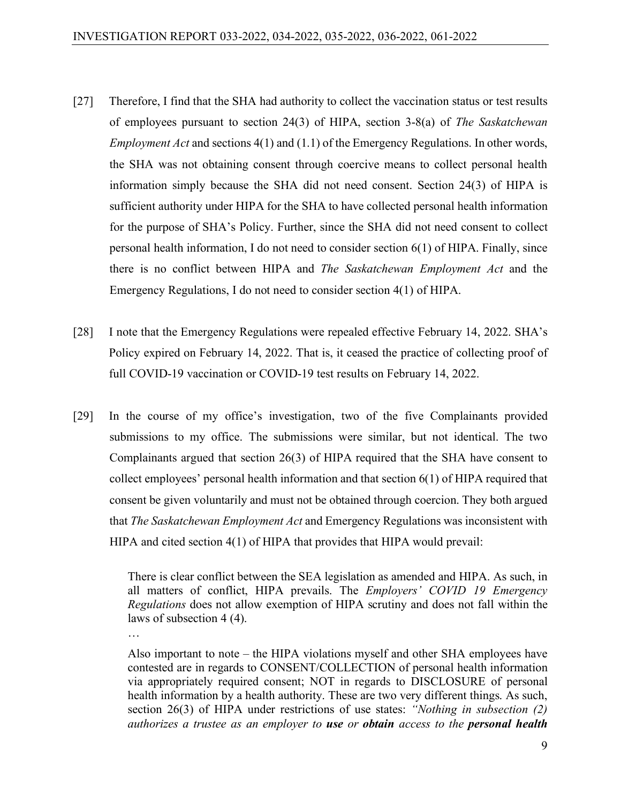- [27] Therefore, I find that the SHA had authority to collect the vaccination status or test results of employees pursuant to section 24(3) of HIPA, section 3-8(a) of *The Saskatchewan Employment Act* and sections 4(1) and (1.1) of the Emergency Regulations. In other words, the SHA was not obtaining consent through coercive means to collect personal health information simply because the SHA did not need consent. Section 24(3) of HIPA is sufficient authority under HIPA for the SHA to have collected personal health information for the purpose of SHA's Policy. Further, since the SHA did not need consent to collect personal health information, I do not need to consider section 6(1) of HIPA. Finally, since there is no conflict between HIPA and *The Saskatchewan Employment Act* and the Emergency Regulations, I do not need to consider section 4(1) of HIPA.
- [28] I note that the Emergency Regulations were repealed effective February 14, 2022. SHA's Policy expired on February 14, 2022. That is, it ceased the practice of collecting proof of full COVID-19 vaccination or COVID-19 test results on February 14, 2022.
- [29] In the course of my office's investigation, two of the five Complainants provided submissions to my office. The submissions were similar, but not identical. The two Complainants argued that section 26(3) of HIPA required that the SHA have consent to collect employees' personal health information and that section 6(1) of HIPA required that consent be given voluntarily and must not be obtained through coercion. They both argued that *The Saskatchewan Employment Act* and Emergency Regulations was inconsistent with HIPA and cited section 4(1) of HIPA that provides that HIPA would prevail:

…

There is clear conflict between the SEA legislation as amended and HIPA. As such, in all matters of conflict, HIPA prevails. The *Employers' COVID 19 Emergency Regulations* does not allow exemption of HIPA scrutiny and does not fall within the laws of subsection 4 (4).

Also important to note – the HIPA violations myself and other SHA employees have contested are in regards to CONSENT/COLLECTION of personal health information via appropriately required consent; NOT in regards to DISCLOSURE of personal health information by a health authority. These are two very different things. As such, section 26(3) of HIPA under restrictions of use states: *"Nothing in subsection (2) authorizes a trustee as an employer to use or obtain access to the personal health*